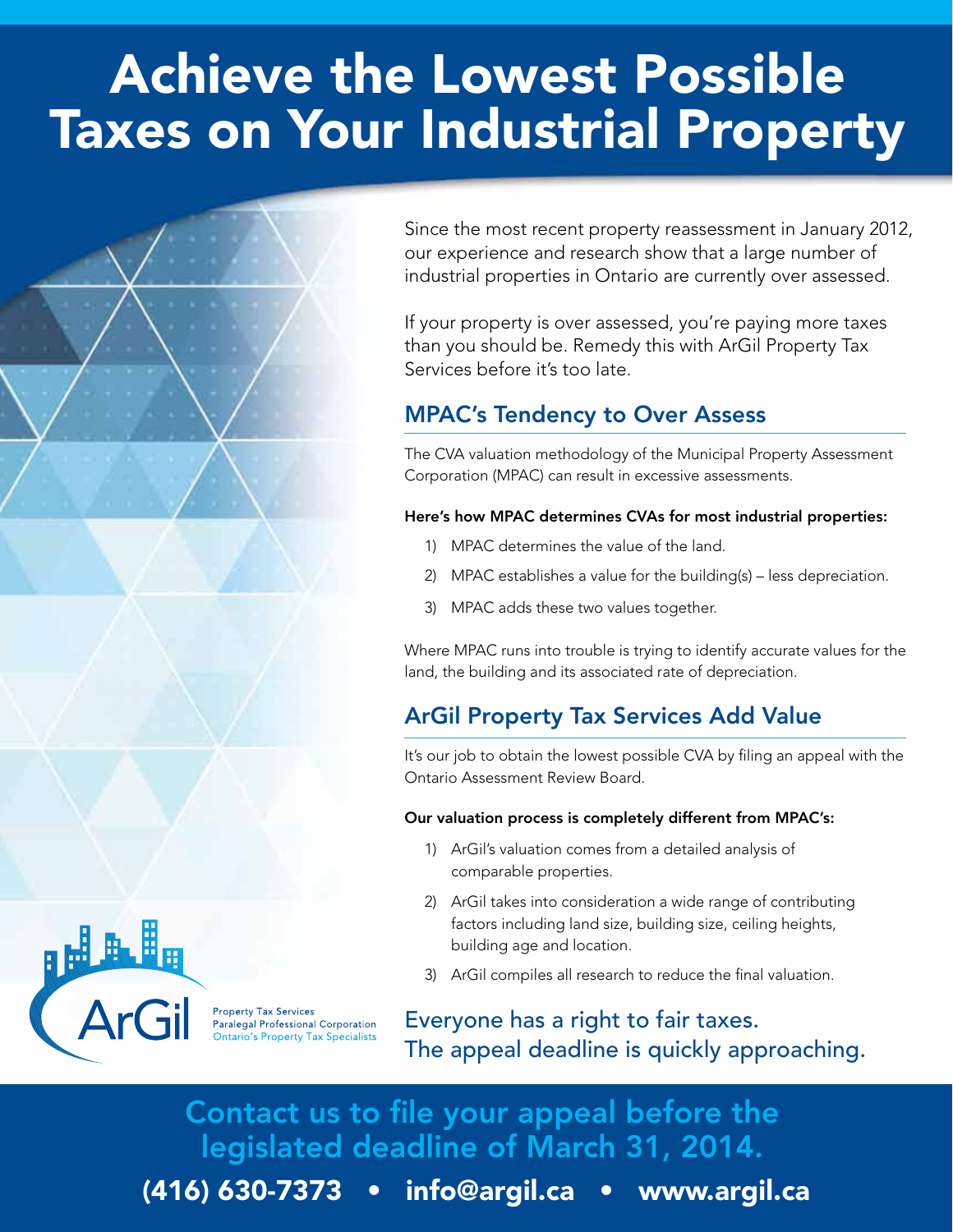# Achieve the Lowest Possible Taxes on Your Industrial Property

Since the most recent property reassessment in January 2012, our experience and research show that a large number of industrial properties in Ontario are currently over assessed.

If your property is over assessed, you're paying more taxes than you should be. Remedy this with ArGil Property Tax Services before it's too late.

# MPAC's Tendency to Over Assess

The CVA valuation methodology of the Municipal Property Assessment Corporation (MPAC) can result in excessive assessments.

#### Here's how MPAC determines CVAs for most industrial properties:

- 1) MPAC determines the value of the land.
- 2) MPAC establishes a value for the building(s) less depreciation.
- 3) MPAC adds these two values together.

Where MPAC runs into trouble is trying to identify accurate values for the land, the building and its associated rate of depreciation.

# ArGil Property Tax Services Add Value

It's our job to obtain the lowest possible CVA by filing an appeal with the Ontario Assessment Review Board.

#### Our valuation process is completely different from MPAC's:

- 1) ArGil's valuation comes from a detailed analysis of comparable properties.
- 2) ArGil takes into consideration a wide range of contributing factors including land size, building size, ceiling heights, building age and location.
- 3) ArGil compiles all research to reduce the final valuation.

Everyone has a right to fair taxes. The appeal deadline is quickly approaching.

Contact us to file your appeal before the legislated deadline of March 31, 2014.

(416) 630-7373 • info@argil.ca • www.argil.ca



Property Tax Services<br>Paralegal Professional Corporation<br>Ontario's Property Tax Specialists